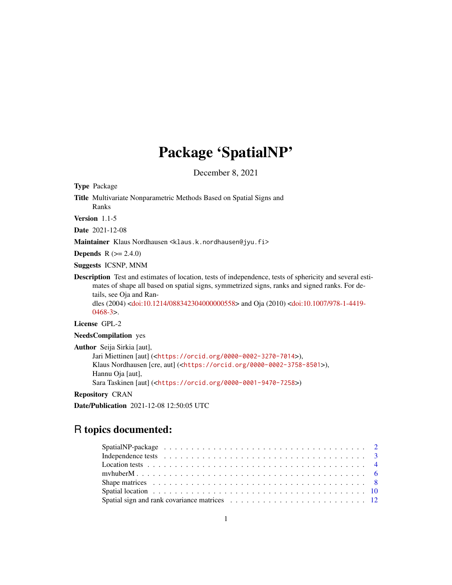# Package 'SpatialNP'

December 8, 2021

<span id="page-0-0"></span>Type Package

Title Multivariate Nonparametric Methods Based on Spatial Signs and Ranks

Version 1.1-5

Date 2021-12-08

Maintainer Klaus Nordhausen <klaus.k.nordhausen@jyu.fi>

**Depends**  $R (= 2.4.0)$ 

Suggests ICSNP, MNM

Description Test and estimates of location, tests of independence, tests of sphericity and several estimates of shape all based on spatial signs, symmetrized signs, ranks and signed ranks. For details, see Oja and Randles (2004) [<doi:10.1214/088342304000000558>](https://doi.org/10.1214/088342304000000558) and Oja (2010) [<doi:10.1007/978-1-4419-](https://doi.org/10.1007/978-1-4419-0468-3) [0468-3>](https://doi.org/10.1007/978-1-4419-0468-3).

License GPL-2

NeedsCompilation yes

Author Seija Sirkia [aut], Jari Miettinen [aut] (<<https://orcid.org/0000-0002-3270-7014>>), Klaus Nordhausen [cre, aut] (<<https://orcid.org/0000-0002-3758-8501>>), Hannu Oja [aut], Sara Taskinen [aut] (<<https://orcid.org/0000-0001-9470-7258>>)

Repository CRAN

Date/Publication 2021-12-08 12:50:05 UTC

# R topics documented:

| Location tests $\ldots \ldots \ldots \ldots \ldots \ldots \ldots \ldots \ldots \ldots \ldots \ldots \ldots$          |  |  |  |  |  |  |  |  |  |  |  |  |  |  |  |  |  |  |  |
|----------------------------------------------------------------------------------------------------------------------|--|--|--|--|--|--|--|--|--|--|--|--|--|--|--|--|--|--|--|
|                                                                                                                      |  |  |  |  |  |  |  |  |  |  |  |  |  |  |  |  |  |  |  |
|                                                                                                                      |  |  |  |  |  |  |  |  |  |  |  |  |  |  |  |  |  |  |  |
| Spatial location $\ldots \ldots \ldots \ldots \ldots \ldots \ldots \ldots \ldots \ldots \ldots \ldots \ldots$        |  |  |  |  |  |  |  |  |  |  |  |  |  |  |  |  |  |  |  |
| Spatial sign and rank covariance matrices $\ldots \ldots \ldots \ldots \ldots \ldots \ldots \ldots \ldots \ldots 12$ |  |  |  |  |  |  |  |  |  |  |  |  |  |  |  |  |  |  |  |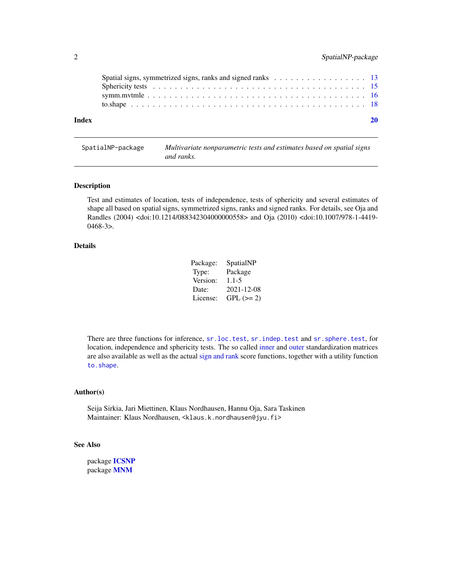<span id="page-1-0"></span>

| Index |  |
|-------|--|

SpatialNP-package *Multivariate nonparametric tests and estimates based on spatial signs and ranks.*

#### Description

Test and estimates of location, tests of independence, tests of sphericity and several estimates of shape all based on spatial signs, symmetrized signs, ranks and signed ranks. For details, see Oja and Randles (2004) <doi:10.1214/088342304000000558> and Oja (2010) <doi:10.1007/978-1-4419- 0468-3>.

#### Details

| Package: | SpatialNP  |
|----------|------------|
| Type:    | Package    |
| Version: | $1.1 - 5$  |
| Date:    | 2021-12-08 |
| License: | $GPL (=2)$ |

There are three functions for inference, [sr.loc.test](#page-3-1), [sr.indep.test](#page-2-1) and [sr.sphere.test](#page-14-1), for location, independence and sphericity tests. The so called [inner](#page-7-1) and [outer](#page-11-1) standardization matrices are also available as well as the actual [sign and rank](#page-12-1) score functions, together with a utility function [to.shape](#page-17-1).

#### Author(s)

Seija Sirkia, Jari Miettinen, Klaus Nordhausen, Hannu Oja, Sara Taskinen Maintainer: Klaus Nordhausen, <klaus.k.nordhausen@jyu.fi>

#### See Also

package [ICSNP](#page-0-0) package [MNM](#page-0-0)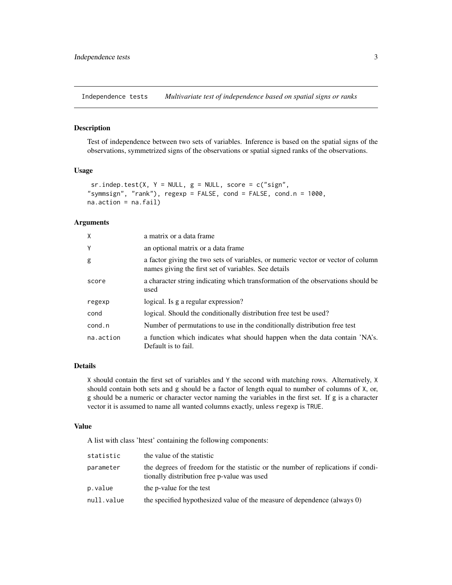<span id="page-2-0"></span>Independence tests *Multivariate test of independence based on spatial signs or ranks*

#### <span id="page-2-1"></span>Description

Test of independence between two sets of variables. Inference is based on the spatial signs of the observations, symmetrized signs of the observations or spatial signed ranks of the observations.

#### Usage

```
sr.index.test(X, Y = NULL, g = NULL, score = c("sign","symmsign", "rank"), regexp = FALSE, cond = FALSE, cond.n = 1000,
na.action = na.fail)
```
#### Arguments

| X         | a matrix or a data frame                                                                                                                 |
|-----------|------------------------------------------------------------------------------------------------------------------------------------------|
| Y         | an optional matrix or a data frame.                                                                                                      |
| g         | a factor giving the two sets of variables, or numeric vector or vector of column<br>names giving the first set of variables. See details |
| score     | a character string indicating which transformation of the observations should be<br>used                                                 |
| regexp    | logical. Is g a regular expression?                                                                                                      |
| cond      | logical. Should the conditionally distribution free test be used?                                                                        |
| cond.n    | Number of permutations to use in the conditionally distribution free test                                                                |
| na.action | a function which indicates what should happen when the data contain 'NA's.<br>Default is to fail.                                        |

## Details

X should contain the first set of variables and Y the second with matching rows. Alternatively, X should contain both sets and g should be a factor of length equal to number of columns of X, or, g should be a numeric or character vector naming the variables in the first set. If g is a character vector it is assumed to name all wanted columns exactly, unless regexp is TRUE.

### Value

A list with class 'htest' containing the following components:

| statistic  | the value of the statistic                                                                                                      |
|------------|---------------------------------------------------------------------------------------------------------------------------------|
| parameter  | the degrees of freedom for the statistic or the number of replications if condi-<br>tionally distribution free p-value was used |
| p.value    | the p-value for the test                                                                                                        |
| null.value | the specified hypothesized value of the measure of dependence (always 0)                                                        |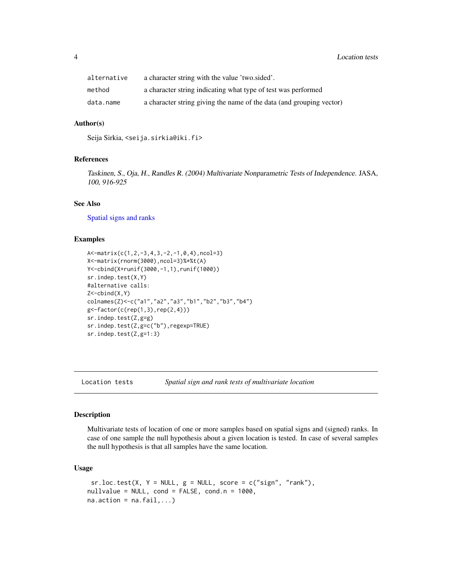<span id="page-3-0"></span>

| alternative | a character string with the value 'two sided'.                       |
|-------------|----------------------------------------------------------------------|
| method      | a character string indicating what type of test was performed        |
| data.name   | a character string giving the name of the data (and grouping vector) |

#### Author(s)

Seija Sirkia, <seija.sirkia@iki.fi>

#### References

Taskinen, S., Oja, H., Randles R. (2004) Multivariate Nonparametric Tests of Independence. JASA, 100, 916-925

### See Also

[Spatial signs and ranks](#page-12-1)

#### Examples

```
A<-matrix(c(1,2,-3,4,3,-2,-1,0,4),ncol=3)
X<-matrix(rnorm(3000),ncol=3)%*%t(A)
Y<-cbind(X+runif(3000,-1,1),runif(1000))
sr.indep.test(X,Y)
#alternative calls:
Z < - cbind(X, Y)colnames(Z)<-c("a1","a2","a3","b1","b2","b3","b4")
g<-factor(c(rep(1,3),rep(2,4)))
sr.indep.test(Z,g=g)
sr.indep.test(Z,g=c("b"),regexp=TRUE)
sr.indep.test(Z,g=1:3)
```
Location tests *Spatial sign and rank tests of multivariate location*

#### <span id="page-3-1"></span>Description

Multivariate tests of location of one or more samples based on spatial signs and (signed) ranks. In case of one sample the null hypothesis about a given location is tested. In case of several samples the null hypothesis is that all samples have the same location.

#### Usage

```
sr.loc.test(X, Y = NULL, g = NULL, score = c("sign", "rank"),nullvalue = NULL, cond = FALSE, cond.n = 1000,
na. action = na. fail, ...)
```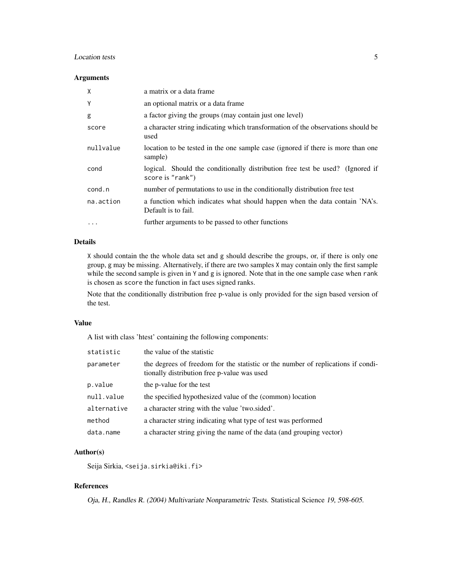#### Location tests 5

#### Arguments

| X         | a matrix or a data frame                                                                          |
|-----------|---------------------------------------------------------------------------------------------------|
| Y         | an optional matrix or a data frame.                                                               |
| g         | a factor giving the groups (may contain just one level)                                           |
| score     | a character string indicating which transformation of the observations should be<br>used          |
| nullvalue | location to be tested in the one sample case (ignored if there is more than one<br>sample)        |
| cond      | logical. Should the conditionally distribution free test be used? (Ignored if<br>score is "rank") |
| cond.n    | number of permutations to use in the conditionally distribution free test                         |
| na.action | a function which indicates what should happen when the data contain 'NA's.<br>Default is to fail. |
| $\cdots$  | further arguments to be passed to other functions                                                 |

#### Details

X should contain the the whole data set and g should describe the groups, or, if there is only one group, g may be missing. Alternatively, if there are two samples X may contain only the first sample while the second sample is given in Y and g is ignored. Note that in the one sample case when rank is chosen as score the function in fact uses signed ranks.

Note that the conditionally distribution free p-value is only provided for the sign based version of the test.

#### Value

A list with class 'htest' containing the following components:

| statistic   | the value of the statistic                                                                                                      |
|-------------|---------------------------------------------------------------------------------------------------------------------------------|
| parameter   | the degrees of freedom for the statistic or the number of replications if condi-<br>tionally distribution free p-value was used |
| p.value     | the p-value for the test                                                                                                        |
| null.value  | the specified hypothesized value of the (common) location                                                                       |
| alternative | a character string with the value 'two.sided'.                                                                                  |
| method      | a character string indicating what type of test was performed                                                                   |
| data.name   | a character string giving the name of the data (and grouping vector)                                                            |

#### Author(s)

Seija Sirkia, <seija.sirkia@iki.fi>

#### References

Oja, H., Randles R. (2004) Multivariate Nonparametric Tests. Statistical Science 19, 598-605.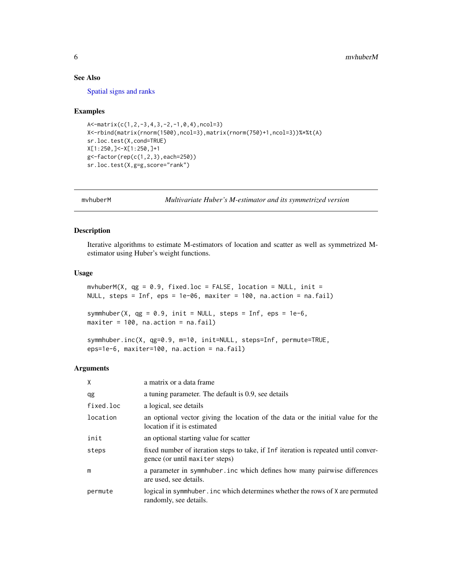#### <span id="page-5-0"></span>See Also

[Spatial signs and ranks](#page-12-1)

#### Examples

```
A<-matrix(c(1,2,-3,4,3,-2,-1,0,4),ncol=3)
X<-rbind(matrix(rnorm(1500),ncol=3),matrix(rnorm(750)+1,ncol=3))%*%t(A)
sr.loc.test(X,cond=TRUE)
X[1:250,]<-X[1:250,]+1
g<-factor(rep(c(1,2,3),each=250))
sr.loc.test(X,g=g,score="rank")
```
mvhuberM *Multivariate Huber's M-estimator and its symmetrized version*

### Description

Iterative algorithms to estimate M-estimators of location and scatter as well as symmetrized Mestimator using Huber's weight functions.

#### Usage

```
mvhuberM(X, qg = 0.9, fixed.loc = FALSE, location = NULL, init =
NULL, steps = Inf, eps = 1e-06, maxiter = 100, na.action = na.fail)
```
symmhuber(X,  $qg = 0.9$ , init = NULL, steps = Inf, eps = 1e-6, maxiter = 100, na.action = na.fail)

```
symmhuber.inc(X, qg=0.9, m=10, init=NULL, steps=Inf, permute=TRUE,
eps=1e-6, maxiter=100, na.action = na.fail)
```
#### Arguments

| X         | a matrix or a data frame                                                                                              |
|-----------|-----------------------------------------------------------------------------------------------------------------------|
| qg        | a tuning parameter. The default is 0.9, see details                                                                   |
| fixed.loc | a logical, see details                                                                                                |
| location  | an optional vector giving the location of the data or the initial value for the<br>location if it is estimated        |
| init      | an optional starting value for scatter                                                                                |
| steps     | fixed number of iteration steps to take, if Inf iteration is repeated until conver-<br>gence (or until maxiter steps) |
| m         | a parameter in symmhuber. inc which defines how many pairwise differences<br>are used, see details.                   |
| permute   | logical in symmhuber. inc which determines whether the rows of X are permuted<br>randomly, see details.               |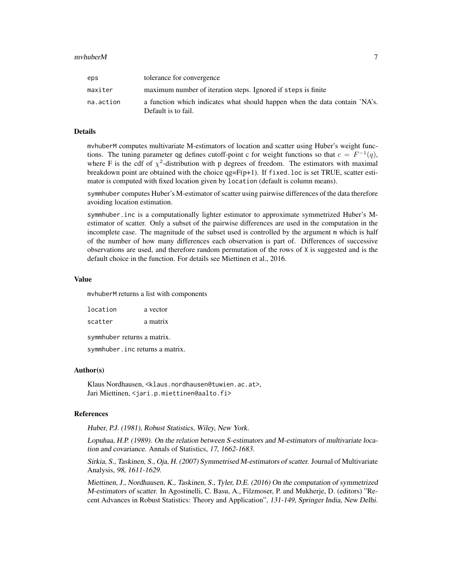| eps       | tolerance for convergence                                                                         |
|-----------|---------------------------------------------------------------------------------------------------|
| maxiter   | maximum number of iteration steps. Ignored if steps is finite                                     |
| na.action | a function which indicates what should happen when the data contain 'NA's.<br>Default is to fail. |

#### Details

mvhuberM computes multivariate M-estimators of location and scatter using Huber's weight functions. The tuning parameter qg defines cutoff-point c for weight functions so that  $c = F^{-1}(q)$ , where F is the cdf of  $\chi^2$ -distribution with p degrees of freedom. The estimators with maximal breakdown point are obtained with the choice  $qg = F(p+1)$ . If fixed.loc is set TRUE, scatter estimator is computed with fixed location given by location (default is column means).

symmhuber computes Huber's M-estimator of scatter using pairwise differences of the data therefore avoiding location estimation.

symmhuber.inc is a computationally lighter estimator to approximate symmetrized Huber's Mestimator of scatter. Only a subset of the pairwise differences are used in the computation in the incomplete case. The magnitude of the subset used is controlled by the argument m which is half of the number of how many differences each observation is part of. Differences of successive observations are used, and therefore random permutation of the rows of  $X$  is suggested and is the default choice in the function. For details see Miettinen et al., 2016.

#### Value

mvhuberM returns a list with components

location a vector scatter a matrix symmhuber returns a matrix. symmhuber.inc returns a matrix.

#### Author(s)

Klaus Nordhausen, <klaus.nordhausen@tuwien.ac.at>, Jari Miettinen, <jari.p.miettinen@aalto.fi>

#### References

Huber, P.J. (1981), Robust Statistics, Wiley, New York.

Lopuhaa, H.P. (1989). On the relation between S-estimators and M-estimators of multivariate location and covariance. Annals of Statistics, 17, 1662-1683.

Sirkia, S., Taskinen, S., Oja, H. (2007) Symmetrised M-estimators of scatter. Journal of Multivariate Analysis, 98, 1611-1629.

Miettinen, J., Nordhausen, K., Taskinen, S., Tyler, D.E. (2016) On the computation of symmetrized M-estimators of scatter. In Agostinelli, C. Basu, A., Filzmoser, P. and Mukherje, D. (editors) "Recent Advances in Robust Statistics: Theory and Application", 131-149, Springer India, New Delhi.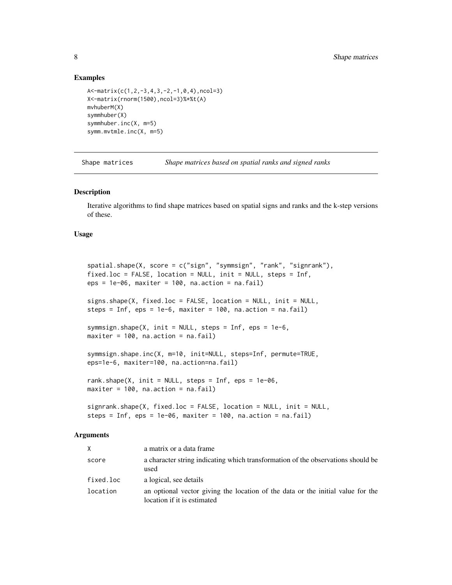#### Examples

```
A<-matrix(c(1,2,-3,4,3,-2,-1,0,4),ncol=3)
X<-matrix(rnorm(1500),ncol=3)%*%t(A)
mvhuberM(X)
symmhuber(X)
symmhuber.inc(X, m=5)
symm.mvtmle.inc(X, m=5)
```
Shape matrices *Shape matrices based on spatial ranks and signed ranks*

#### <span id="page-7-1"></span>Description

Iterative algorithms to find shape matrices based on spatial signs and ranks and the k-step versions of these.

#### Usage

```
spatial.shape(X, score = c("sign", "symmsign", "rank", "signrank"),
fixed.loc = FALSE, location = NULL, init = NULL, steps = Inf,
eps = 1e-06, maxiter = 100, na.action = na.fail)
signs.shape(X, fixed.loc = FALSE, location = NULL, init = NULL,
steps = Inf, eps = 1e-6, maxiter = 100, na.action = na.fail)
symmsign.shape(X, init = NULL, steps = Inf, eps = 1e-6,
maxiter = 100, na.action = na.fail)
symmsign.shape.inc(X, m=10, init=NULL, steps=Inf, permute=TRUE,
eps=1e-6, maxiter=100, na.action=na.fail)
rank.shape(X, init = NULL, steps = Inf, eps = 1e-06,
maxiter = 100, na.action = na.fail)
signrank.shape(X, fixed.loc = FALSE, location = NULL, init = NULL,
```
steps = Inf, eps =  $1e-06$ , maxiter =  $100$ , na.action = na.fail)

#### Arguments

| X         | a matrix or a data frame.                                                                                      |
|-----------|----------------------------------------------------------------------------------------------------------------|
| score     | a character string indicating which transformation of the observations should be<br>used                       |
| fixed.loc | a logical, see details                                                                                         |
| location  | an optional vector giving the location of the data or the initial value for the<br>location if it is estimated |

<span id="page-7-0"></span>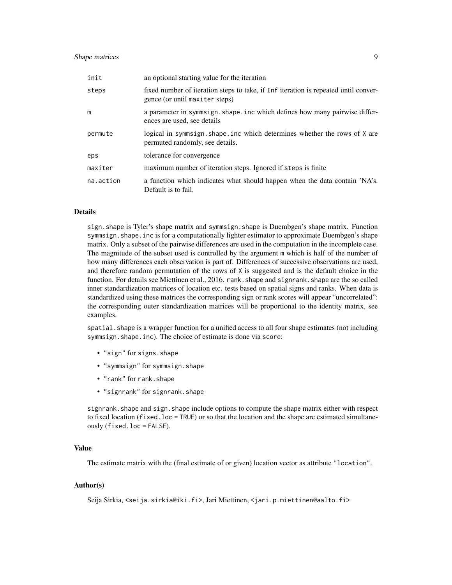#### Shape matrices 9

| init      | an optional starting value for the iteration                                                                          |
|-----------|-----------------------------------------------------------------------------------------------------------------------|
| steps     | fixed number of iteration steps to take, if Inf iteration is repeated until conver-<br>gence (or until maxiter steps) |
| m         | a parameter in symmsign. shape. inc which defines how many pairwise differ-<br>ences are used, see details            |
| permute   | logical in symmsign. shape. inc which determines whether the rows of X are<br>permuted randomly, see details.         |
| eps       | tolerance for convergence                                                                                             |
| maxiter   | maximum number of iteration steps. Ignored if steps is finite                                                         |
| na.action | a function which indicates what should happen when the data contain 'NA's.<br>Default is to fail.                     |

#### Details

sign.shape is Tyler's shape matrix and symmsign.shape is Duembgen's shape matrix. Function symmsign.shape.inc is for a computationally lighter estimator to approximate Duembgen's shape matrix. Only a subset of the pairwise differences are used in the computation in the incomplete case. The magnitude of the subset used is controlled by the argument m which is half of the number of how many differences each observation is part of. Differences of successive observations are used, and therefore random permutation of the rows of  $X$  is suggested and is the default choice in the function. For details see Miettinen et al., 2016. rank. shape and signrank. shape are the so called inner standardization matrices of location etc. tests based on spatial signs and ranks. When data is standardized using these matrices the corresponding sign or rank scores will appear "uncorrelated": the corresponding outer standardization matrices will be proportional to the identity matrix, see examples.

spatial.shape is a wrapper function for a unified access to all four shape estimates (not including symmsign.shape.inc). The choice of estimate is done via score:

- "sign" for signs.shape
- "symmsign" for symmsign.shape
- "rank" for rank.shape
- "signrank" for signrank.shape

signrank. shape and sign. shape include options to compute the shape matrix either with respect to fixed location (fixed.loc = TRUE) or so that the location and the shape are estimated simultaneously (fixed.loc = FALSE).

#### Value

The estimate matrix with the (final estimate of or given) location vector as attribute "location".

#### Author(s)

Seija Sirkia, <seija.sirkia@iki.fi>, Jari Miettinen, <jari.p.miettinen@aalto.fi>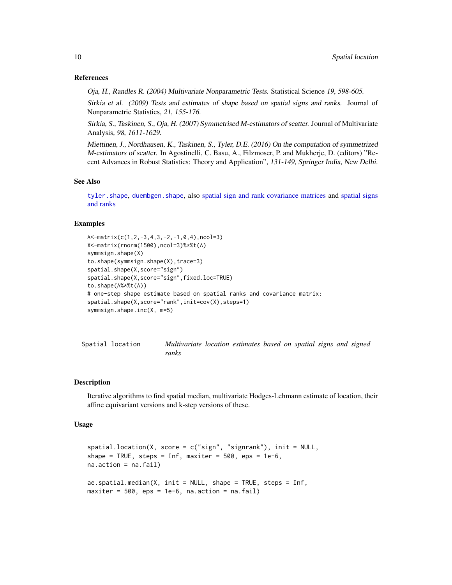#### References

Oja, H., Randles R. (2004) Multivariate Nonparametric Tests. Statistical Science 19, 598-605.

Sirkia et al. (2009) Tests and estimates of shape based on spatial signs and ranks. Journal of Nonparametric Statistics, 21, 155-176.

Sirkia, S., Taskinen, S., Oja, H. (2007) Symmetrised M-estimators of scatter. Journal of Multivariate Analysis, 98, 1611-1629.

Miettinen, J., Nordhausen, K., Taskinen, S., Tyler, D.E. (2016) On the computation of symmetrized M-estimators of scatter. In Agostinelli, C. Basu, A., Filzmoser, P. and Mukherje, D. (editors) "Recent Advances in Robust Statistics: Theory and Application", 131-149, Springer India, New Delhi.

#### See Also

[tyler.shape](#page-0-0), [duembgen.shape](#page-0-0), also [spatial sign and rank covariance matrices](#page-11-1) and [spatial signs](#page-12-1) [and ranks](#page-12-1)

#### Examples

```
A<-matrix(c(1,2,-3,4,3,-2,-1,0,4),ncol=3)
X<-matrix(rnorm(1500),ncol=3)%*%t(A)
symmsign.shape(X)
to.shape(symmsign.shape(X),trace=3)
spatial.shape(X,score="sign")
spatial.shape(X,score="sign",fixed.loc=TRUE)
to.shape(A%*%t(A))
# one-step shape estimate based on spatial ranks and covariance matrix:
spatial.shape(X,score="rank",init=cov(X),steps=1)
symmsign.shape.inc(X, m=5)
```
Spatial location *Multivariate location estimates based on spatial signs and signed ranks*

#### Description

Iterative algorithms to find spatial median, multivariate Hodges-Lehmann estimate of location, their affine equivariant versions and k-step versions of these.

#### Usage

```
spatial.location(X, score = c("sign", "signrank"), init = NULL,
shape = TRUE, steps = Inf, maxiter = 500, eps = 1e-6,
na.action = na.fail)
ae.spatial.median(X, init = NULL, shape = TRUE, steps = Inf,
maxiter = 500, eps = 1e-6, na.action = na.fail)
```
<span id="page-9-0"></span>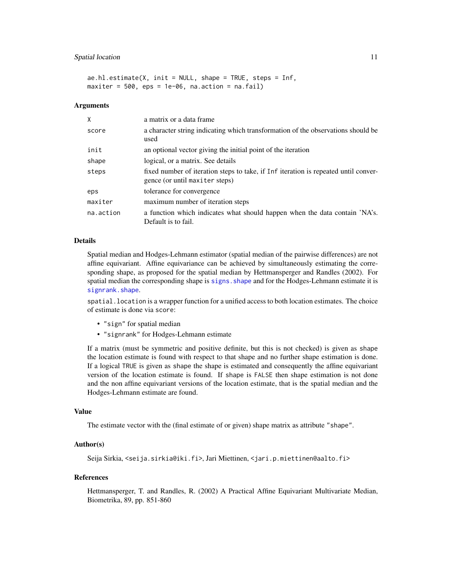#### <span id="page-10-0"></span>Spatial location 11

```
ae.h1.estimate(X, init = NULL, shape = TRUE, steps = Inf,
maxiter = 500, eps = 1e-06, na.action = na.fail)
```
#### Arguments

| X         | a matrix or a data frame                                                                                              |
|-----------|-----------------------------------------------------------------------------------------------------------------------|
| score     | a character string indicating which transformation of the observations should be<br>used                              |
| init      | an optional vector giving the initial point of the iteration                                                          |
| shape     | logical, or a matrix. See details                                                                                     |
| steps     | fixed number of iteration steps to take, if Inf iteration is repeated until conver-<br>gence (or until maxiter steps) |
| eps       | tolerance for convergence                                                                                             |
| maxiter   | maximum number of iteration steps                                                                                     |
| na.action | a function which indicates what should happen when the data contain 'NA's.<br>Default is to fail.                     |

#### Details

Spatial median and Hodges-Lehmann estimator (spatial median of the pairwise differences) are not affine equivariant. Affine equivariance can be achieved by simultaneously estimating the corresponding shape, as proposed for the spatial median by Hettmansperger and Randles (2002). For spatial median the corresponding shape is [signs.shape](#page-7-1) and for the Hodges-Lehmann estimate it is [signrank.shape](#page-7-1).

spatial.location is a wrapper function for a unified access to both location estimates. The choice of estimate is done via score:

- "sign" for spatial median
- "signrank" for Hodges-Lehmann estimate

If a matrix (must be symmetric and positive definite, but this is not checked) is given as shape the location estimate is found with respect to that shape and no further shape estimation is done. If a logical TRUE is given as shape the shape is estimated and consequently the affine equivariant version of the location estimate is found. If shape is FALSE then shape estimation is not done and the non affine equivariant versions of the location estimate, that is the spatial median and the Hodges-Lehmann estimate are found.

#### Value

The estimate vector with the (final estimate of or given) shape matrix as attribute "shape".

#### Author(s)

Seija Sirkia, <seija.sirkia@iki.fi>, Jari Miettinen, <jari.p.miettinen@aalto.fi>

#### References

Hettmansperger, T. and Randles, R. (2002) A Practical Affine Equivariant Multivariate Median, Biometrika, 89, pp. 851-860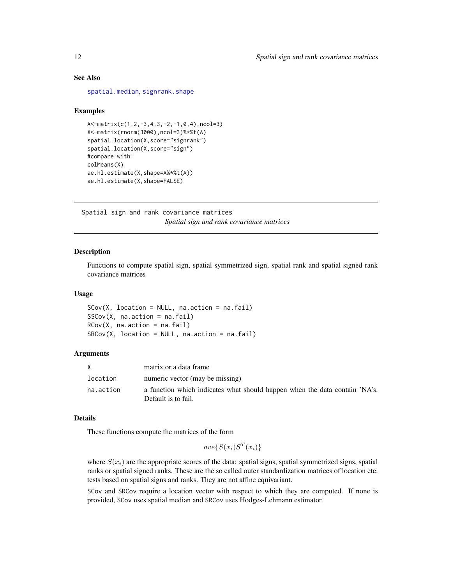### <span id="page-11-0"></span>See Also

[spatial.median](#page-0-0), [signrank.shape](#page-7-1)

#### Examples

```
A<-matrix(c(1,2,-3,4,3,-2,-1,0,4),ncol=3)
X<-matrix(rnorm(3000),ncol=3)%*%t(A)
spatial.location(X,score="signrank")
spatial.location(X,score="sign")
#compare with:
colMeans(X)
ae.hl.estimate(X,shape=A%*%t(A))
ae.hl.estimate(X,shape=FALSE)
```
Spatial sign and rank covariance matrices *Spatial sign and rank covariance matrices*

#### <span id="page-11-1"></span>Description

Functions to compute spatial sign, spatial symmetrized sign, spatial rank and spatial signed rank covariance matrices

#### Usage

 $SCov(X, location = NULL, na.action = na.fail)$  $SSCov(X, na.action = na.fail)$  $RCov(X, na.action = na.fail)$  $SRCov(X, location = NULL, na. action = na. fail)$ 

#### Arguments

|           | matrix or a data frame                                                                            |
|-----------|---------------------------------------------------------------------------------------------------|
| location  | numeric vector (may be missing)                                                                   |
| na.action | a function which indicates what should happen when the data contain 'NA's.<br>Default is to fail. |

#### Details

These functions compute the matrices of the form

```
ave\{S(x_i)S^T(x_i)\}\
```
where  $S(x_i)$  are the appropriate scores of the data: spatial signs, spatial symmetrized signs, spatial ranks or spatial signed ranks. These are the so called outer standardization matrices of location etc. tests based on spatial signs and ranks. They are not affine equivariant.

SCov and SRCov require a location vector with respect to which they are computed. If none is provided, SCov uses spatial median and SRCov uses Hodges-Lehmann estimator.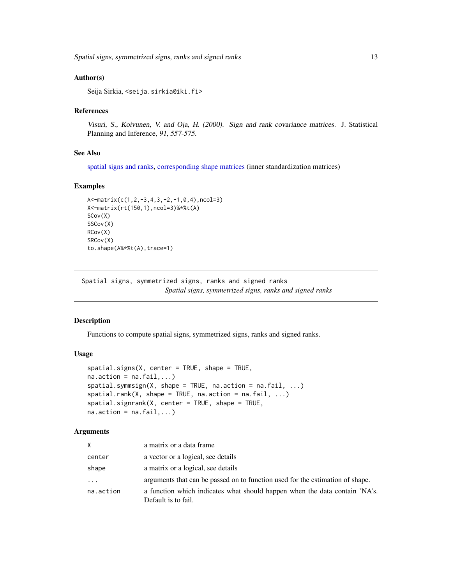<span id="page-12-0"></span>Spatial signs, symmetrized signs, ranks and signed ranks 13

#### Author(s)

Seija Sirkia, <seija.sirkia@iki.fi>

#### References

Visuri, S., Koivunen, V. and Oja, H. (2000). Sign and rank covariance matrices. J. Statistical Planning and Inference, 91, 557-575.

#### See Also

[spatial signs and ranks,](#page-12-1) [corresponding shape matrices](#page-7-1) (inner standardization matrices)

#### Examples

```
A<-matrix(c(1,2,-3,4,3,-2,-1,0,4),ncol=3)
X<-matrix(rt(150,1),ncol=3)%*%t(A)
SCov(X)
SSCov(X)
RCov(X)
SRCov(X)
to.shape(A%*%t(A),trace=1)
```
Spatial signs, symmetrized signs, ranks and signed ranks *Spatial signs, symmetrized signs, ranks and signed ranks*

#### <span id="page-12-1"></span>Description

Functions to compute spatial signs, symmetrized signs, ranks and signed ranks.

#### Usage

```
spatial.signs(X, center = TRUE, shape = TRUE,
na. action = na. fail, ...)spatial.symmsign(X, shape = TRUE, na.action = na.fail, ...)spatial.random(X, shape = TRUE, na.action = na.fail, ...)spatial.sizenrank(X, center = TRUE, shape = TRUE,
na. action = na. fail, ...)
```
#### Arguments

| X.        | a matrix or a data frame                                                                          |
|-----------|---------------------------------------------------------------------------------------------------|
| center    | a vector or a logical, see details                                                                |
| shape     | a matrix or a logical, see details                                                                |
| $\cdots$  | arguments that can be passed on to function used for the estimation of shape.                     |
| na.action | a function which indicates what should happen when the data contain 'NA's.<br>Default is to fail. |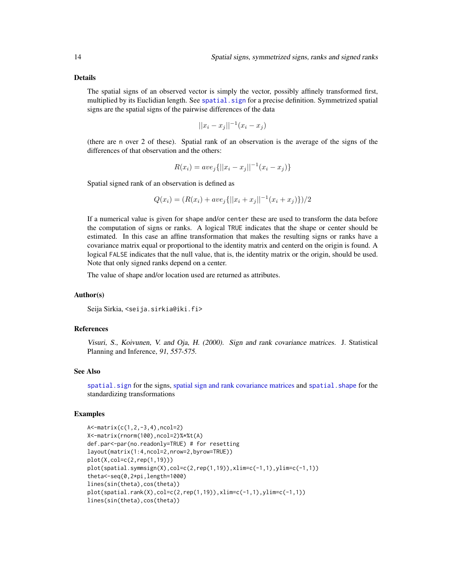#### <span id="page-13-0"></span>Details

The spatial signs of an observed vector is simply the vector, possibly affinely transformed first, multiplied by its Euclidian length. See spatial. sign for a precise definition. Symmetrized spatial signs are the spatial signs of the pairwise differences of the data

$$
||x_i - x_j||^{-1}(x_i - x_j)
$$

(there are n over 2 of these). Spatial rank of an observation is the average of the signs of the differences of that observation and the others:

$$
R(x_i) = ave_j\{||x_i - x_j||^{-1}(x_i - x_j)\}
$$

Spatial signed rank of an observation is defined as

$$
Q(x_i) = (R(x_i) + ave_j\{|x_i + x_j||^{-1}(x_i + x_j)\})/2
$$

If a numerical value is given for shape and/or center these are used to transform the data before the computation of signs or ranks. A logical TRUE indicates that the shape or center should be estimated. In this case an affine transformation that makes the resulting signs or ranks have a covariance matrix equal or proportional to the identity matrix and centerd on the origin is found. A logical FALSE indicates that the null value, that is, the identity matrix or the origin, should be used. Note that only signed ranks depend on a center.

The value of shape and/or location used are returned as attributes.

#### Author(s)

Seija Sirkia, <seija.sirkia@iki.fi>

#### References

Visuri, S., Koivunen, V. and Oja, H. (2000). Sign and rank covariance matrices. J. Statistical Planning and Inference, 91, 557-575.

#### See Also

spatial. sign for the signs, [spatial sign and rank covariance matrices](#page-7-1) and spatial. shape for the standardizing transformations

#### Examples

```
A<-matrix(c(1,2,-3,4),ncol=2)
X<-matrix(rnorm(100),ncol=2)%*%t(A)
def.par<-par(no.readonly=TRUE) # for resetting
layout(matrix(1:4,ncol=2,nrow=2,byrow=TRUE))
plot(X,col=c(2,rep(1,19)))
plot(spatial.symmsign(X),col=c(2,rep(1,19)),xlim=c(-1,1),ylim=c(-1,1))
theta<-seq(0,2*pi,length=1000)
lines(sin(theta),cos(theta))
plot(spatial.rank(X),col=c(2,rep(1,19)),xlim=c(-1,1),ylim=c(-1,1))
lines(sin(theta),cos(theta))
```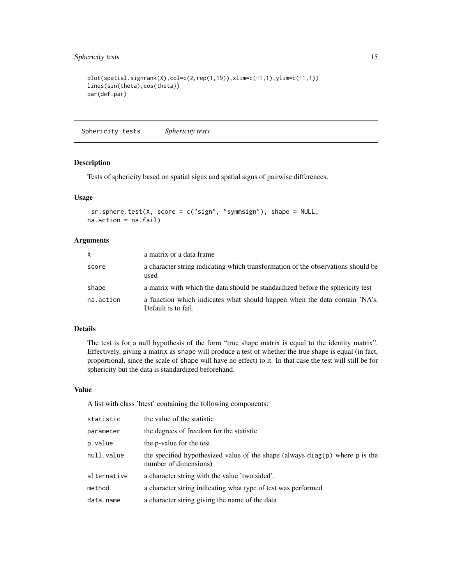```
plot(spatial.signrank(X), col=c(2, rep(1,19)), xlim=c(-1,1), ylim=c(-1,1))lines(sin(theta),cos(theta))
par(def.par)
```
Sphericity tests *Sphericity tests*

#### <span id="page-14-1"></span>Description

Tests of sphericity based on spatial signs and spatial signs of pairwise differences.

#### Usage

```
sr.sphere.test(X, score = c("sign", "symmsign"), shape = NULL,na.action = na.fail)
```
#### Arguments

| $\mathsf{X}$ | a matrix or a data frame                                                                          |
|--------------|---------------------------------------------------------------------------------------------------|
| score        | a character string indicating which transformation of the observations should be<br>used          |
| shape        | a matrix with which the data should be standardized before the sphericity test                    |
| na.action    | a function which indicates what should happen when the data contain 'NA's.<br>Default is to fail. |

# Details

The test is for a null hypothesis of the form "true shape matrix is equal to the identity matrix". Effectively, giving a matrix as shape will produce a test of whether the true shape is equal (in fact, proportional, since the scale of shape will have no effect) to it. In that case the test will still be for sphericity but the data is standardized beforehand.

#### Value

A list with class 'htest' containing the following components:

| statistic   | the value of the statistic                                                                                |  |
|-------------|-----------------------------------------------------------------------------------------------------------|--|
| parameter   | the degrees of freedom for the statistic                                                                  |  |
| p.value     | the p-value for the test                                                                                  |  |
| null.value  | the specified hypothesized value of the shape (always $diag(p)$ ) where p is the<br>number of dimensions) |  |
| alternative | a character string with the value 'two sided'.                                                            |  |
| method      | a character string indicating what type of test was performed                                             |  |
| data.name   | a character string giving the name of the data                                                            |  |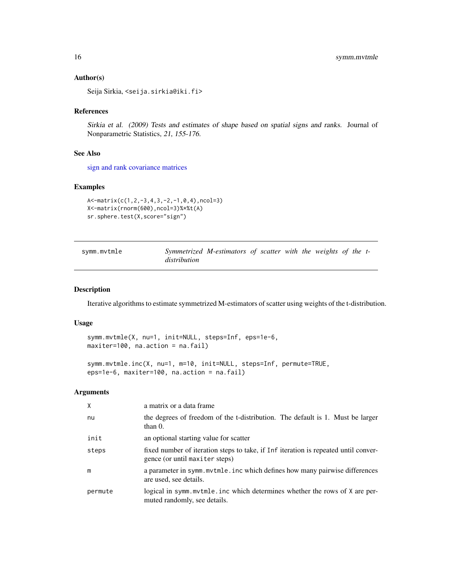#### Author(s)

Seija Sirkia, <seija.sirkia@iki.fi>

#### References

Sirkia et al. (2009) Tests and estimates of shape based on spatial signs and ranks. Journal of Nonparametric Statistics, 21, 155-176.

#### See Also

[sign and rank covariance matrices](#page-11-1)

#### Examples

```
A<-matrix(c(1,2,-3,4,3,-2,-1,0,4),ncol=3)
X<-matrix(rnorm(600),ncol=3)%*%t(A)
sr.sphere.test(X,score="sign")
```

| symm.mvtmle |              | Symmetrized M-estimators of scatter with the weights of the t- |  |  |  |  |
|-------------|--------------|----------------------------------------------------------------|--|--|--|--|
|             | distribution |                                                                |  |  |  |  |

#### Description

Iterative algorithms to estimate symmetrized M-estimators of scatter using weights of the t-distribution.

#### Usage

```
symm.mvtmle(X, nu=1, init=NULL, steps=Inf, eps=1e-6,
maxiter=100, na.action = na.fail)
```

```
symm.mvtmle.inc(X, nu=1, m=10, init=NULL, steps=Inf, permute=TRUE,
eps=1e-6, maxiter=100, na.action = na.fail)
```
#### Arguments

| X       | a matrix or a data frame                                                                                              |  |
|---------|-----------------------------------------------------------------------------------------------------------------------|--|
| nu      | the degrees of freedom of the t-distribution. The default is 1. Must be larger<br>than $0$ .                          |  |
| init    | an optional starting value for scatter                                                                                |  |
| steps   | fixed number of iteration steps to take, if Inf iteration is repeated until conver-<br>gence (or until maxiter steps) |  |
| m       | a parameter in symm. mytmle. inc which defines how many pairwise differences<br>are used, see details.                |  |
| permute | logical in symm.mvtmle.inc which determines whether the rows of X are per-<br>muted randomly, see details.            |  |

<span id="page-15-0"></span>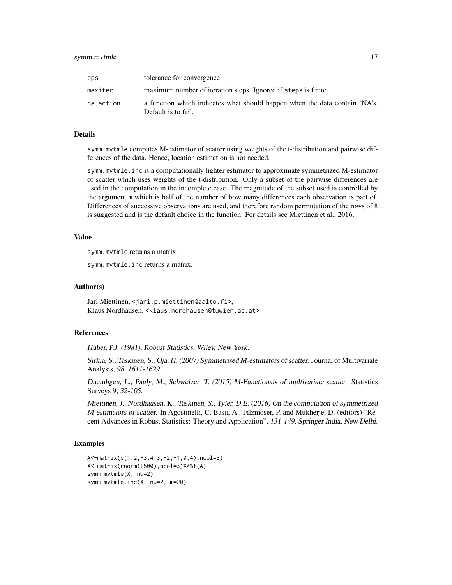#### symm.mvtmle 17

| eps       | tolerance for convergence                                                                         |
|-----------|---------------------------------------------------------------------------------------------------|
| maxiter   | maximum number of iteration steps. Ignored if steps is finite                                     |
| na.action | a function which indicates what should happen when the data contain 'NA's.<br>Default is to fail. |

#### Details

symm.mvtmle computes M-estimator of scatter using weights of the t-distribution and pairwise differences of the data. Hence, location estimation is not needed.

symm.mvtmle.inc is a computationally lighter estimator to approximate symmetrized M-estimator of scatter which uses weights of the t-distribution. Only a subset of the pairwise differences are used in the computation in the incomplete case. The magnitude of the subset used is controlled by the argument m which is half of the number of how many differences each observation is part of. Differences of successive observations are used, and therefore random permutation of the rows of X is suggested and is the default choice in the function. For details see Miettinen et al., 2016.

#### Value

symm.mvtmle returns a matrix.

symm.mvtmle.inc returns a matrix.

#### Author(s)

Jari Miettinen, <jari.p.miettinen@aalto.fi>, Klaus Nordhausen, <klaus.nordhausen@tuwien.ac.at>

#### References

Huber, P.J. (1981), Robust Statistics, Wiley, New York.

Sirkia, S., Taskinen, S., Oja, H. (2007) Symmetrised M-estimators of scatter. Journal of Multivariate Analysis, 98, 1611-1629.

Duembgen, L., Pauly, M., Schweizer, T. (2015) M-Functionals of multivariate scatter. Statistics Surveys 9, 32-105.

Miettinen, J., Nordhausen, K., Taskinen, S., Tyler, D.E. (2016) On the computation of symmetrized M-estimators of scatter. In Agostinelli, C. Basu, A., Filzmoser, P. and Mukherje, D. (editors) "Recent Advances in Robust Statistics: Theory and Application", 131-149, Springer India, New Delhi.

#### Examples

```
A<-matrix(c(1,2,-3,4,3,-2,-1,0,4),ncol=3)
X<-matrix(rnorm(1500),ncol=3)%*%t(A)
symm.mvtmle(X, nu=2)
symm.mvtmle.inc(X, nu=2, m=20)
```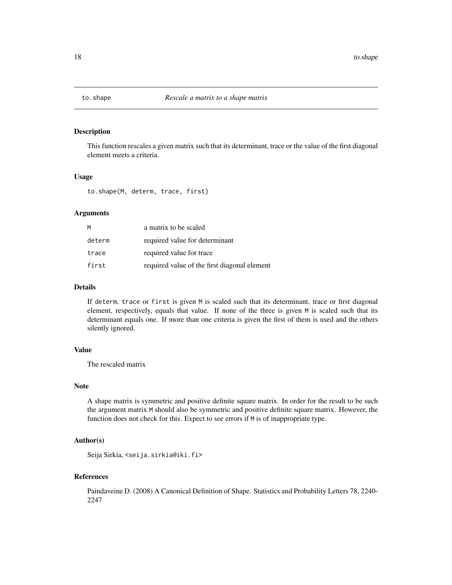<span id="page-17-1"></span><span id="page-17-0"></span>

#### Description

This function rescales a given matrix such that its determinant, trace or the value of the first diagonal element meets a criteria.

#### Usage

to.shape(M, determ, trace, first)

#### Arguments

| M      | a matrix to be scaled                        |
|--------|----------------------------------------------|
| determ | required value for determinant               |
| trace  | required value for trace                     |
| first  | required value of the first diagonal element |

#### Details

If determ, trace or first is given M is scaled such that its determinant, trace or first diagonal element, respectively, equals that value. If none of the three is given M is scaled such that its determinant equals one. If more than one criteria is given the first of them is used and the others silently ignored.

#### Value

The rescaled matrix

#### Note

A shape matrix is symmetric and positive definite square matrix. In order for the result to be such the argument matrix M should also be symmetric and positive definite square matrix. However, the function does not check for this. Expect to see errors if M is of inappropriate type.

#### Author(s)

Seija Sirkia, <seija.sirkia@iki.fi>

#### References

Paindaveine D. (2008) A Canonical Definition of Shape. Statistics and Probability Letters 78, 2240- 2247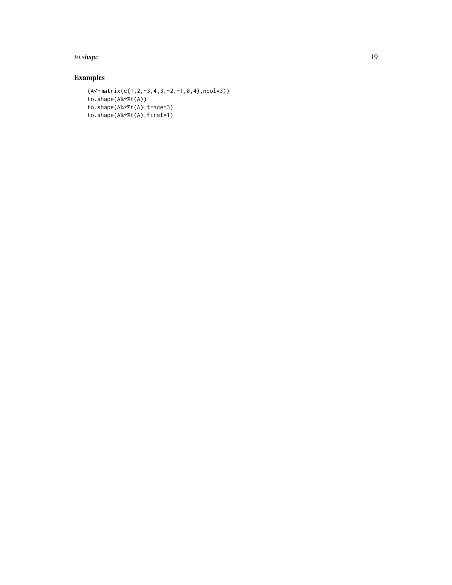to.shape 19

# Examples

```
(A<-matrix(c(1,2,-3,4,3,-2,-1,0,4),ncol=3))
to.shape(A%*%t(A))
to.shape(A%*%t(A),trace=3)
to.shape(A%*%t(A),first=1)
```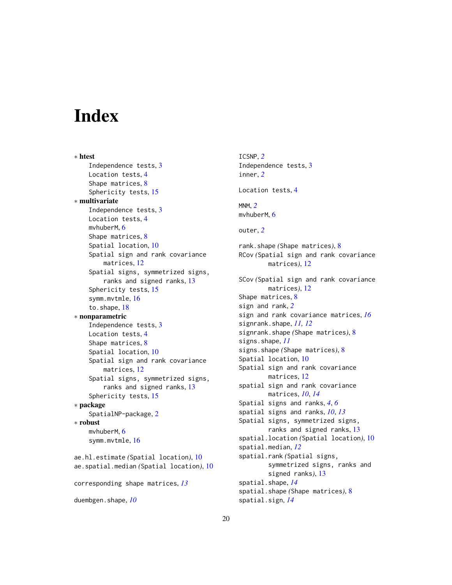# <span id="page-19-0"></span>**Index**

∗ htest Independence tests, [3](#page-2-0) Location tests, [4](#page-3-0) Shape matrices, [8](#page-7-0) Sphericity tests, [15](#page-14-0) ∗ multivariate Independence tests, [3](#page-2-0) Location tests, [4](#page-3-0) mvhuberM, [6](#page-5-0) Shape matrices, [8](#page-7-0) Spatial location, [10](#page-9-0) Spatial sign and rank covariance matrices, [12](#page-11-0) Spatial signs, symmetrized signs, ranks and signed ranks, [13](#page-12-0) Sphericity tests, [15](#page-14-0) symm.mvtmle, [16](#page-15-0) to.shape, [18](#page-17-0) ∗ nonparametric Independence tests, [3](#page-2-0) Location tests, [4](#page-3-0) Shape matrices, [8](#page-7-0) Spatial location, [10](#page-9-0) Spatial sign and rank covariance matrices, [12](#page-11-0) Spatial signs, symmetrized signs, ranks and signed ranks, [13](#page-12-0) Sphericity tests, [15](#page-14-0) ∗ package SpatialNP-package, [2](#page-1-0) ∗ robust mvhuberM, [6](#page-5-0) symm.mvtmle, [16](#page-15-0) ae.hl.estimate *(*Spatial location*)*, [10](#page-9-0) ae.spatial.median *(*Spatial location*)*, [10](#page-9-0) corresponding shape matrices, *[13](#page-12-0)*

duembgen.shape, *[10](#page-9-0)*

ICSNP, *[2](#page-1-0)* Independence tests, [3](#page-2-0) inner, *[2](#page-1-0)* Location tests, [4](#page-3-0) MNM, *[2](#page-1-0)* mvhuberM, [6](#page-5-0) outer, *[2](#page-1-0)* rank.shape *(*Shape matrices*)*, [8](#page-7-0) RCov *(*Spatial sign and rank covariance matrices*)*, [12](#page-11-0) SCov *(*Spatial sign and rank covariance matrices*)*, [12](#page-11-0) Shape matrices, [8](#page-7-0) sign and rank, *[2](#page-1-0)* sign and rank covariance matrices, *[16](#page-15-0)* signrank.shape, *[11,](#page-10-0) [12](#page-11-0)* signrank.shape *(*Shape matrices*)*, [8](#page-7-0) signs.shape, *[11](#page-10-0)* signs.shape *(*Shape matrices*)*, [8](#page-7-0) Spatial location, [10](#page-9-0) Spatial sign and rank covariance matrices, [12](#page-11-0) spatial sign and rank covariance matrices, *[10](#page-9-0)*, *[14](#page-13-0)* Spatial signs and ranks, *[4](#page-3-0)*, *[6](#page-5-0)* spatial signs and ranks, *[10](#page-9-0)*, *[13](#page-12-0)* Spatial signs, symmetrized signs, ranks and signed ranks, [13](#page-12-0) spatial.location *(*Spatial location*)*, [10](#page-9-0) spatial.median, *[12](#page-11-0)* spatial.rank *(*Spatial signs, symmetrized signs, ranks and signed ranks*)*, [13](#page-12-0) spatial.shape, *[14](#page-13-0)* spatial.shape *(*Shape matrices*)*, [8](#page-7-0) spatial.sign, *[14](#page-13-0)*